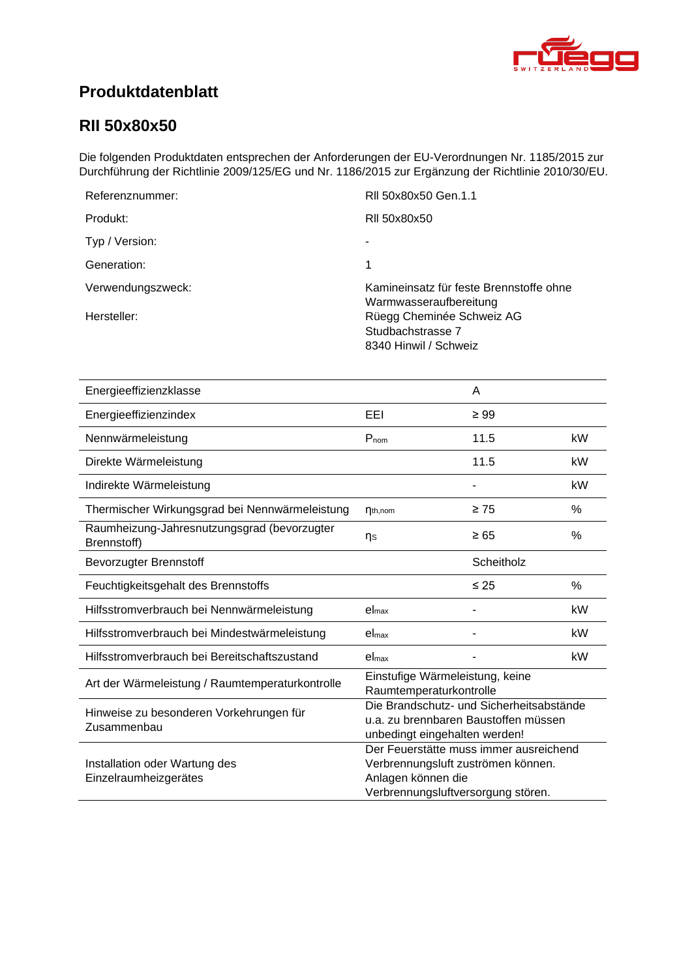<span id="page-0-4"></span><span id="page-0-3"></span><span id="page-0-2"></span><span id="page-0-1"></span>

# **Produktdatenblatt**

### <span id="page-0-0"></span>**RII 50x80x50**

Die folgenden Produktdaten entsprechen der Anforderungen der EU-Verordnungen Nr. 1185/2015 zur Durchführung der Richtlinie 2009/125/EG und Nr. 1186/2015 zur Ergänzung der Richtlinie 2010/30/EU.

| Referenznummer:   | RII 50x80x50 Gen.1.1                                                    |
|-------------------|-------------------------------------------------------------------------|
| Produkt:          | RII 50x80x50                                                            |
| Typ / Version:    |                                                                         |
| Generation:       | 1                                                                       |
| Verwendungszweck: | Kamineinsatz für feste Brennstoffe ohne<br>Warmwasseraufbereitung       |
| Hersteller:       | Rüegg Cheminée Schweiz AG<br>Studbachstrasse 7<br>8340 Hinwil / Schweiz |

<span id="page-0-8"></span><span id="page-0-7"></span><span id="page-0-6"></span><span id="page-0-5"></span>

| Energieeffizienzklasse                                     |                                                                                                                                          | A          |               |
|------------------------------------------------------------|------------------------------------------------------------------------------------------------------------------------------------------|------------|---------------|
| Energieeffizienzindex                                      | EEI                                                                                                                                      | $\geq 99$  |               |
| Nennwärmeleistung                                          | $P_{nom}$                                                                                                                                | 11.5       | kW            |
| Direkte Wärmeleistung                                      |                                                                                                                                          | 11.5       | kW            |
| Indirekte Wärmeleistung                                    |                                                                                                                                          |            | kW            |
| Thermischer Wirkungsgrad bei Nennwärmeleistung             | $\eta_{th,nom}$                                                                                                                          | $\geq 75$  | $\frac{0}{0}$ |
| Raumheizung-Jahresnutzungsgrad (bevorzugter<br>Brennstoff) | ηs                                                                                                                                       | $\geq 65$  | %             |
| <b>Bevorzugter Brennstoff</b>                              |                                                                                                                                          | Scheitholz |               |
| Feuchtigkeitsgehalt des Brennstoffs                        |                                                                                                                                          | $\leq 25$  | $\%$          |
| Hilfsstromverbrauch bei Nennwärmeleistung                  | el <sub>max</sub>                                                                                                                        |            | kW            |
| Hilfsstromverbrauch bei Mindestwärmeleistung               | el <sub>max</sub>                                                                                                                        |            | kW            |
| Hilfsstromverbrauch bei Bereitschaftszustand               | el <sub>max</sub>                                                                                                                        |            | kW            |
| Art der Wärmeleistung / Raumtemperaturkontrolle            | Einstufige Wärmeleistung, keine<br>Raumtemperaturkontrolle                                                                               |            |               |
| Hinweise zu besonderen Vorkehrungen für<br>Zusammenbau     | Die Brandschutz- und Sicherheitsabstände<br>u.a. zu brennbaren Baustoffen müssen<br>unbedingt eingehalten werden!                        |            |               |
| Installation oder Wartung des<br>Einzelraumheizgerätes     | Der Feuerstätte muss immer ausreichend<br>Verbrennungsluft zuströmen können.<br>Anlagen können die<br>Verbrennungsluftversorgung stören. |            |               |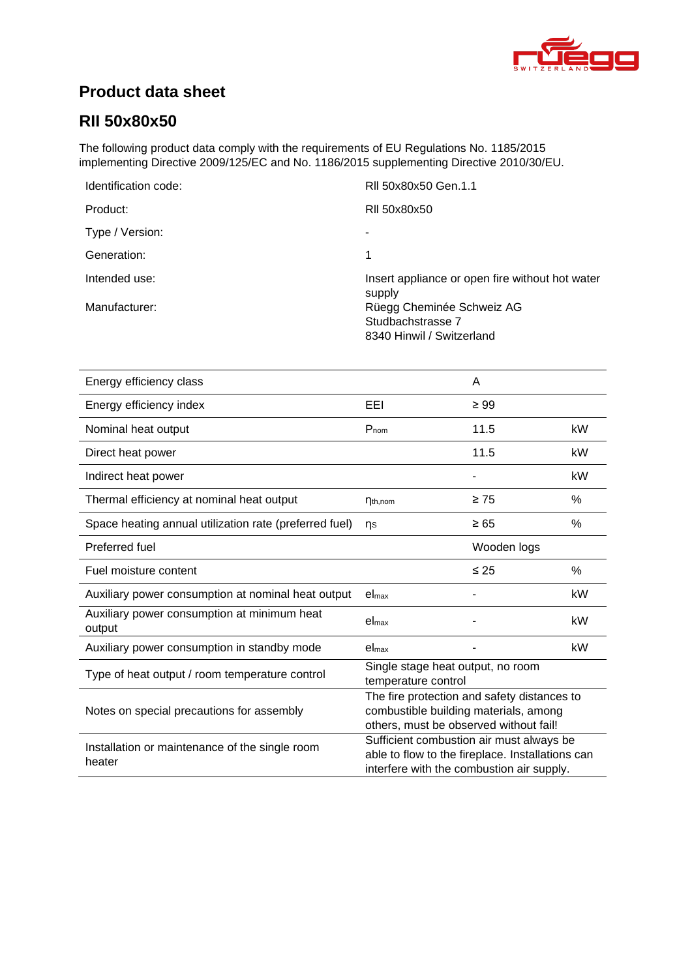

# **Product data sheet**

## **[RII 50x80x50](#page-0-0)**

The following product data comply with the requirements of EU Regulations No. 1185/2015 implementing Directive 2009/125/EC and No. 1186/2015 supplementing Directive 2010/30/EU.

| Identification code: | RII 50x80x50 Gen.1.1                                      |
|----------------------|-----------------------------------------------------------|
| Product:             | RII 50x80x50                                              |
| Type / Version:      |                                                           |
| Generation:          | 1                                                         |
| Intended use:        | Insert appliance or open fire without hot water<br>supply |
| Manufacturer:        | Rüegg Cheminée Schweiz AG                                 |
|                      | Studbachstrasse 7                                         |
|                      | 8340 Hinwil / Switzerland                                 |

| Energy efficiency class                                  |                                                                                                                                           | A           |      |
|----------------------------------------------------------|-------------------------------------------------------------------------------------------------------------------------------------------|-------------|------|
| Energy efficiency index                                  | EEI                                                                                                                                       | $\geq 99$   |      |
| Nominal heat output                                      | $P_{nom}$                                                                                                                                 | 11.5        | kW   |
| Direct heat power                                        |                                                                                                                                           | 11.5        | kW   |
| Indirect heat power                                      |                                                                                                                                           |             | kW   |
| Thermal efficiency at nominal heat output                | $\eta_{th,nom}$                                                                                                                           | $\geq 75$   | %    |
| Space heating annual utilization rate (preferred fuel)   | ns                                                                                                                                        | $\geq 65$   | %    |
| Preferred fuel                                           |                                                                                                                                           | Wooden logs |      |
| Fuel moisture content                                    |                                                                                                                                           | $\leq 25$   | $\%$ |
| Auxiliary power consumption at nominal heat output       | el <sub>max</sub>                                                                                                                         |             | kW   |
| Auxiliary power consumption at minimum heat<br>output    | $el_{\text{max}}$                                                                                                                         |             | kW   |
| Auxiliary power consumption in standby mode              | el <sub>max</sub>                                                                                                                         |             | kW   |
| Type of heat output / room temperature control           | Single stage heat output, no room<br>temperature control                                                                                  |             |      |
| Notes on special precautions for assembly                | The fire protection and safety distances to<br>combustible building materials, among<br>others, must be observed without fail!            |             |      |
| Installation or maintenance of the single room<br>heater | Sufficient combustion air must always be<br>able to flow to the fireplace. Installations can<br>interfere with the combustion air supply. |             |      |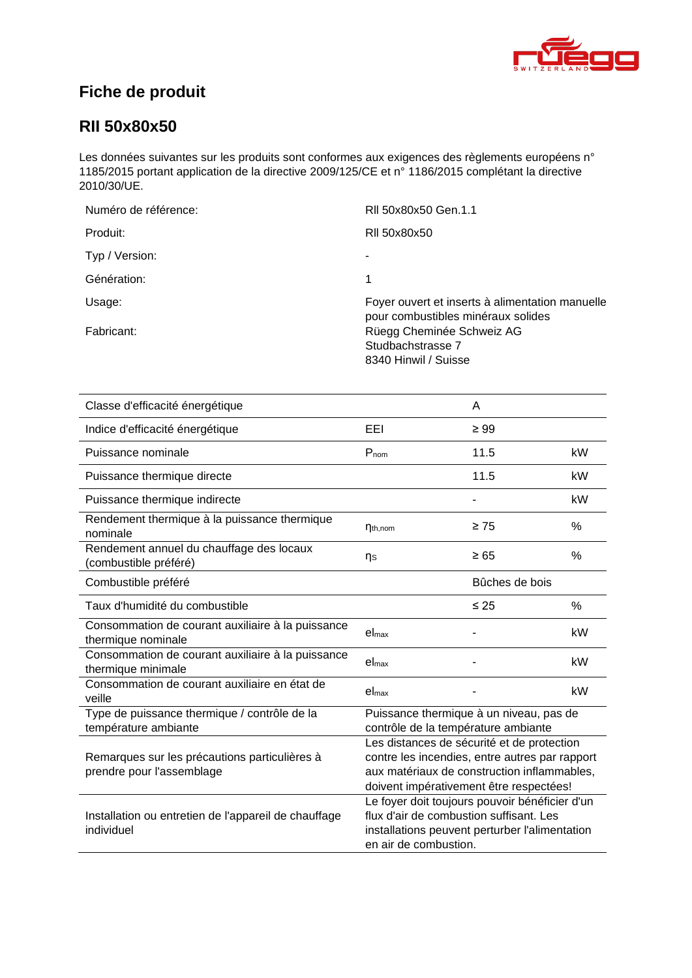

# **Fiche de produit**

### **[RII 50x80x50](#page-0-0)**

Les données suivantes sur les produits sont conformes aux exigences des règlements européens n° 1185/2015 portant application de la directive 2009/125/CE et n° 1186/2015 complétant la directive 2010/30/UE.

| RII 50x80x50 Gen.1.1                                                                  |
|---------------------------------------------------------------------------------------|
| RII 50x80x50                                                                          |
| ۰                                                                                     |
| 1                                                                                     |
| Foyer ouvert et inserts à alimentation manuelle<br>pour combustibles minéraux solides |
| Rüegg Cheminée Schweiz AG<br>Studbachstrasse 7<br>8340 Hinwil / Suisse                |
|                                                                                       |

| Classe d'efficacité énergétique                                            |                                                                                                                                                                                        | A              |      |
|----------------------------------------------------------------------------|----------------------------------------------------------------------------------------------------------------------------------------------------------------------------------------|----------------|------|
| Indice d'efficacité énergétique                                            | EEL                                                                                                                                                                                    | $\geq 99$      |      |
| Puissance nominale                                                         | $P_{nom}$                                                                                                                                                                              | 11.5           | kW   |
| Puissance thermique directe                                                |                                                                                                                                                                                        | 11.5           | kW   |
| Puissance thermique indirecte                                              |                                                                                                                                                                                        |                | kW   |
| Rendement thermique à la puissance thermique<br>nominale                   | $\eta_{th,nom}$                                                                                                                                                                        | $\geq 75$      | $\%$ |
| Rendement annuel du chauffage des locaux<br>(combustible préféré)          | ηs                                                                                                                                                                                     | $\geq 65$      | %    |
| Combustible préféré                                                        |                                                                                                                                                                                        | Bûches de bois |      |
| Taux d'humidité du combustible                                             |                                                                                                                                                                                        | $\leq 25$      | $\%$ |
| Consommation de courant auxiliaire à la puissance<br>thermique nominale    | el <sub>max</sub>                                                                                                                                                                      |                | kW   |
| Consommation de courant auxiliaire à la puissance<br>thermique minimale    | $el_{max}$                                                                                                                                                                             |                | kW   |
| Consommation de courant auxiliaire en état de<br>veille                    | el <sub>max</sub>                                                                                                                                                                      |                | kW   |
| Type de puissance thermique / contrôle de la<br>température ambiante       | Puissance thermique à un niveau, pas de<br>contrôle de la température ambiante                                                                                                         |                |      |
| Remarques sur les précautions particulières à<br>prendre pour l'assemblage | Les distances de sécurité et de protection<br>contre les incendies, entre autres par rapport<br>aux matériaux de construction inflammables,<br>doivent impérativement être respectées! |                |      |
| Installation ou entretien de l'appareil de chauffage<br>individuel         | Le foyer doit toujours pouvoir bénéficier d'un<br>flux d'air de combustion suffisant. Les<br>installations peuvent perturber l'alimentation<br>en air de combustion.                   |                |      |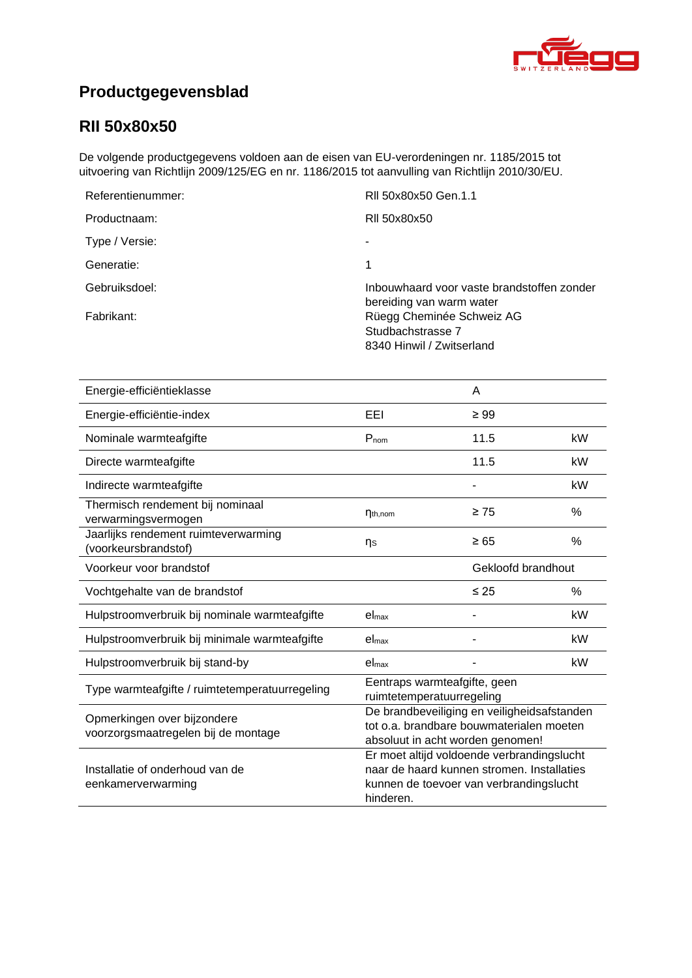

# **Productgegevensblad**

## **[RII 50x80x50](#page-0-0)**

De volgende productgegevens voldoen aan de eisen van EU-verordeningen nr. 1185/2015 tot uitvoering van Richtlijn 2009/125/EG en nr. 1186/2015 tot aanvulling van Richtlijn 2010/30/EU.

| Referentienummer: | RII 50x80x50 Gen.1.1                                                        |
|-------------------|-----------------------------------------------------------------------------|
| Productnaam:      | RII 50x80x50                                                                |
| Type / Versie:    |                                                                             |
| Generatie:        |                                                                             |
| Gebruiksdoel:     | Inbouwhaard voor vaste brandstoffen zonder<br>bereiding van warm water      |
| Fabrikant:        | Rüegg Cheminée Schweiz AG<br>Studbachstrasse 7<br>8340 Hinwil / Zwitserland |

| Energie-efficiëntieklasse                                          |                                                                                                                                                  | A         |               |
|--------------------------------------------------------------------|--------------------------------------------------------------------------------------------------------------------------------------------------|-----------|---------------|
| Energie-efficiëntie-index                                          | EEI                                                                                                                                              | $\geq 99$ |               |
| Nominale warmteafgifte                                             | $P_{nom}$                                                                                                                                        | 11.5      | kW            |
| Directe warmteafgifte                                              |                                                                                                                                                  | 11.5      | kW            |
| Indirecte warmteafgifte                                            |                                                                                                                                                  |           | kW            |
| Thermisch rendement bij nominaal<br>verwarmingsvermogen            | $\eta_{th,nom}$                                                                                                                                  | $\geq 75$ | $\frac{0}{0}$ |
| Jaarlijks rendement ruimteverwarming<br>(voorkeursbrandstof)       | ηs                                                                                                                                               | $\geq 65$ | %             |
| Voorkeur voor brandstof                                            | Gekloofd brandhout                                                                                                                               |           |               |
| Vochtgehalte van de brandstof                                      |                                                                                                                                                  | $\leq 25$ | $\%$          |
| Hulpstroomverbruik bij nominale warmteafgifte                      | el <sub>max</sub>                                                                                                                                |           | kW            |
| Hulpstroomverbruik bij minimale warmteafgifte                      | el <sub>max</sub>                                                                                                                                |           | kW            |
| Hulpstroomverbruik bij stand-by                                    | el <sub>max</sub>                                                                                                                                |           | kW            |
| Type warmteafgifte / ruimtetemperatuurregeling                     | Eentraps warmteafgifte, geen<br>ruimtetemperatuurregeling                                                                                        |           |               |
| Opmerkingen over bijzondere<br>voorzorgsmaatregelen bij de montage | De brandbeveiliging en veiligheidsafstanden<br>tot o.a. brandbare bouwmaterialen moeten<br>absoluut in acht worden genomen!                      |           |               |
| Installatie of onderhoud van de<br>eenkamerverwarming              | Er moet altijd voldoende verbrandingslucht<br>naar de haard kunnen stromen. Installaties<br>kunnen de toevoer van verbrandingslucht<br>hinderen. |           |               |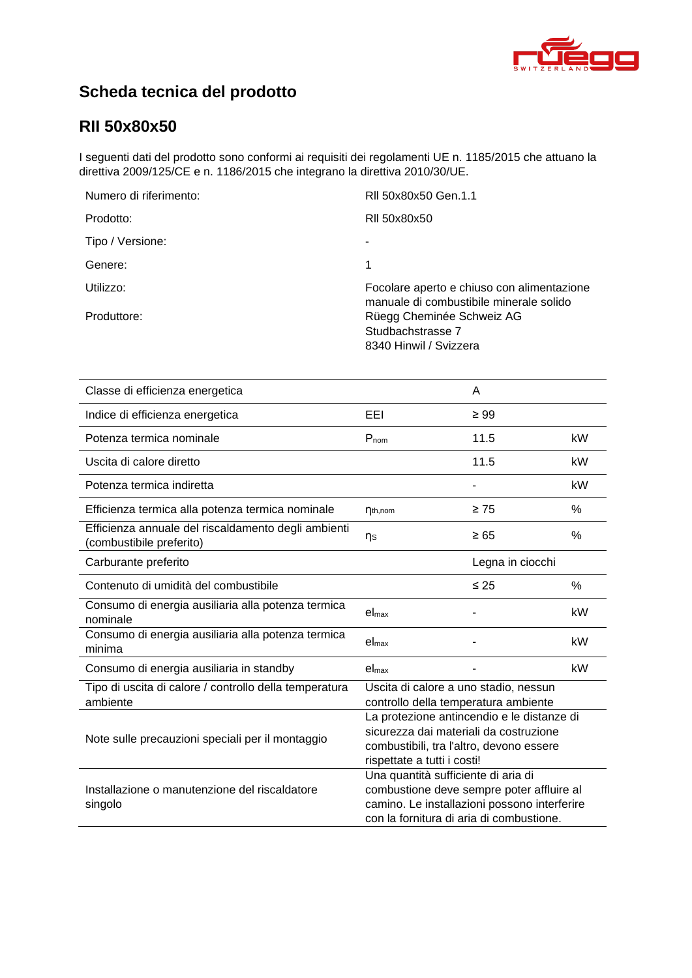

# **Scheda tecnica del prodotto**

### **[RII 50x80x50](#page-0-0)**

I seguenti dati del prodotto sono conformi ai requisiti dei regolamenti UE n. 1185/2015 che attuano la direttiva 2009/125/CE e n. 1186/2015 che integrano la direttiva 2010/30/UE.

| Numero di riferimento: | RII 50x80x50 Gen.1.1                                                                  |
|------------------------|---------------------------------------------------------------------------------------|
| Prodotto:              | RII 50x80x50                                                                          |
| Tipo / Versione:       |                                                                                       |
| Genere:                | 1                                                                                     |
| Utilizzo:              | Focolare aperto e chiuso con alimentazione<br>manuale di combustibile minerale solido |
| Produttore:            | Rüegg Cheminée Schweiz AG<br>Studbachstrasse 7<br>8340 Hinwil / Svizzera              |

| Classe di efficienza energetica                                                 |                                                                                                                                                                              | A                |      |
|---------------------------------------------------------------------------------|------------------------------------------------------------------------------------------------------------------------------------------------------------------------------|------------------|------|
| Indice di efficienza energetica                                                 | EEL                                                                                                                                                                          | $\geq 99$        |      |
| Potenza termica nominale                                                        | $P_{nom}$                                                                                                                                                                    | 11.5             | kW   |
| Uscita di calore diretto                                                        |                                                                                                                                                                              | 11.5             | kW   |
| Potenza termica indiretta                                                       |                                                                                                                                                                              |                  | kW   |
| Efficienza termica alla potenza termica nominale                                | $\eta_{th,nom}$                                                                                                                                                              | $\geq 75$        | $\%$ |
| Efficienza annuale del riscaldamento degli ambienti<br>(combustibile preferito) | ηs                                                                                                                                                                           | $\geq 65$        | %    |
| Carburante preferito                                                            |                                                                                                                                                                              | Legna in ciocchi |      |
| Contenuto di umidità del combustibile                                           |                                                                                                                                                                              | $\leq 25$        | %    |
| Consumo di energia ausiliaria alla potenza termica<br>nominale                  | el <sub>max</sub>                                                                                                                                                            |                  | kW   |
| Consumo di energia ausiliaria alla potenza termica<br>minima                    | $el_{\text{max}}$                                                                                                                                                            |                  | kW   |
| Consumo di energia ausiliaria in standby                                        | el <sub>max</sub>                                                                                                                                                            |                  | kW   |
| Tipo di uscita di calore / controllo della temperatura<br>ambiente              | Uscita di calore a uno stadio, nessun<br>controllo della temperatura ambiente                                                                                                |                  |      |
| Note sulle precauzioni speciali per il montaggio                                | La protezione antincendio e le distanze di<br>sicurezza dai materiali da costruzione<br>combustibili, tra l'altro, devono essere<br>rispettate a tutti i costi!              |                  |      |
| Installazione o manutenzione del riscaldatore<br>singolo                        | Una quantità sufficiente di aria di<br>combustione deve sempre poter affluire al<br>camino. Le installazioni possono interferire<br>con la fornitura di aria di combustione. |                  |      |